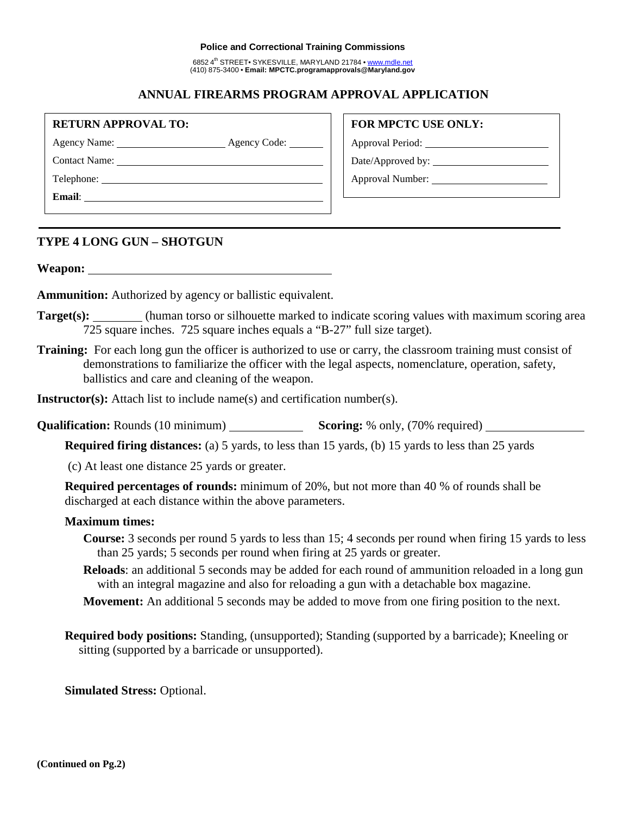#### **Police and Correctional Training Commissions**

6852 4th STREET• SYKESVILLE, MARYLAND 21784 • www.mdle.net (410) 875-3400 • **Email: MPCTC.programapprovals@Maryland.gov**

## **ANNUAL FIREARMS PROGRAM APPROVAL APPLICATION**

**RETURN APPROVAL TO:**

Agency Name: Agency Code:

Contact Name:

Telephone: **Email**: **FOR MPCTC USE ONLY:**

Approval Period:

Date/Approved by:

Approval Number:

## **TYPE 4 LONG GUN – SHOTGUN**

**Weapon:**

**Ammunition:** Authorized by agency or ballistic equivalent.

- **Target(s):** (human torso or silhouette marked to indicate scoring values with maximum scoring area 725 square inches. 725 square inches equals a "B-27" full size target).
- **Training:** For each long gun the officer is authorized to use or carry, the classroom training must consist of demonstrations to familiarize the officer with the legal aspects, nomenclature, operation, safety, ballistics and care and cleaning of the weapon.

**Instructor(s):** Attach list to include name(s) and certification number(s).

**Qualification:** Rounds (10 minimum) **Scoring:** % only, (70% required) **Scoring:** % only, (70% required)

**Required firing distances:** (a) 5 yards, to less than 15 yards, (b) 15 yards to less than 25 yards

(c) At least one distance 25 yards or greater.

**Required percentages of rounds:** minimum of 20%, but not more than 40 % of rounds shall be discharged at each distance within the above parameters.

#### **Maximum times:**

- **Course:** 3 seconds per round 5 yards to less than 15; 4 seconds per round when firing 15 yards to less than 25 yards; 5 seconds per round when firing at 25 yards or greater.
- **Reloads**: an additional 5 seconds may be added for each round of ammunition reloaded in a long gun with an integral magazine and also for reloading a gun with a detachable box magazine.
- **Movement:** An additional 5 seconds may be added to move from one firing position to the next.
- **Required body positions:** Standing, (unsupported); Standing (supported by a barricade); Kneeling or sitting (supported by a barricade or unsupported).

**Simulated Stress:** Optional.